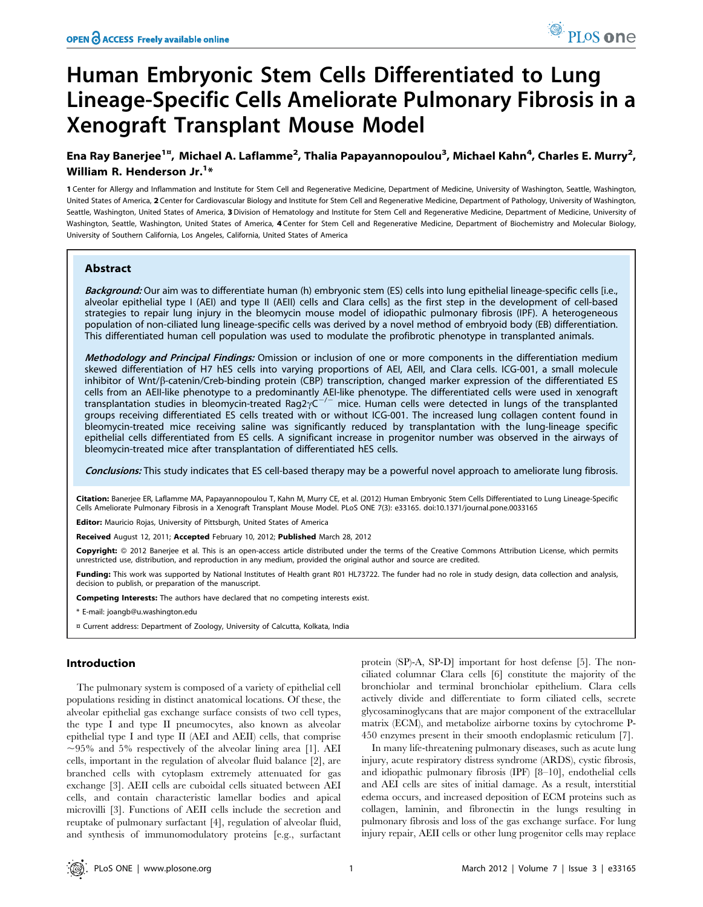# Human Embryonic Stem Cells Differentiated to Lung Lineage-Specific Cells Ameliorate Pulmonary Fibrosis in a Xenograft Transplant Mouse Model

# Ena Ray Banerjee<sup>1¤</sup>, Michael A. Laflamme<sup>2</sup>, Thalia Papayannopoulou<sup>3</sup>, Michael Kahn<sup>4</sup>, Charles E. Murry<sup>2</sup>, William R. Henderson Jr.<sup>1</sup>\*

1 Center for Allergy and Inflammation and Institute for Stem Cell and Regenerative Medicine, Department of Medicine, University of Washington, Seattle, Washington, United States of America, 2 Center for Cardiovascular Biology and Institute for Stem Cell and Regenerative Medicine, Department of Pathology, University of Washington, Seattle, Washington, United States of America, 3 Division of Hematology and Institute for Stem Cell and Regenerative Medicine, Department of Medicine, University of Washington, Seattle, Washington, United States of America, 4 Center for Stem Cell and Regenerative Medicine, Department of Biochemistry and Molecular Biology, University of Southern California, Los Angeles, California, United States of America

# Abstract

Background: Our aim was to differentiate human (h) embryonic stem (ES) cells into lung epithelial lineage-specific cells [i.e., alveolar epithelial type I (AEI) and type II (AEII) cells and Clara cells] as the first step in the development of cell-based strategies to repair lung injury in the bleomycin mouse model of idiopathic pulmonary fibrosis (IPF). A heterogeneous population of non-ciliated lung lineage-specific cells was derived by a novel method of embryoid body (EB) differentiation. This differentiated human cell population was used to modulate the profibrotic phenotype in transplanted animals.

Methodology and Principal Findings: Omission or inclusion of one or more components in the differentiation medium skewed differentiation of H7 hES cells into varying proportions of AEI, AEII, and Clara cells. ICG-001, a small molecule inhibitor of Wnt/b-catenin/Creb-binding protein (CBP) transcription, changed marker expression of the differentiated ES cells from an AEII-like phenotype to a predominantly AEI-like phenotype. The differentiated cells were used in xenograft<br>transplantation studies in bleomycin-treated Rag2 $\gamma$ C<sup>—/—</sup> mice. Human cells were detected in lungs groups receiving differentiated ES cells treated with or without ICG-001. The increased lung collagen content found in bleomycin-treated mice receiving saline was significantly reduced by transplantation with the lung-lineage specific epithelial cells differentiated from ES cells. A significant increase in progenitor number was observed in the airways of bleomycin-treated mice after transplantation of differentiated hES cells.

Conclusions: This study indicates that ES cell-based therapy may be a powerful novel approach to ameliorate lung fibrosis.

Citation: Banerjee ER, Laflamme MA, Papayannopoulou T, Kahn M, Murry CE, et al. (2012) Human Embryonic Stem Cells Differentiated to Lung Lineage-Specific Cells Ameliorate Pulmonary Fibrosis in a Xenograft Transplant Mouse Model. PLoS ONE 7(3): e33165. doi:10.1371/journal.pone.0033165

Editor: Mauricio Rojas, University of Pittsburgh, United States of America

Received August 12, 2011; Accepted February 10, 2012; Published March 28, 2012

**Copyright:** © 2012 Banerjee et al. This is an open-access article distributed under the terms of the Creative Commons Attribution License, which permits unrestricted use, distribution, and reproduction in any medium, provided the original author and source are credited.

Funding: This work was supported by National Institutes of Health grant R01 HL73722. The funder had no role in study design, data collection and analysis, decision to publish, or preparation of the manuscript.

Competing Interests: The authors have declared that no competing interests exist.

\* E-mail: joangb@u.washington.edu

¤ Current address: Department of Zoology, University of Calcutta, Kolkata, India

# Introduction

The pulmonary system is composed of a variety of epithelial cell populations residing in distinct anatomical locations. Of these, the alveolar epithelial gas exchange surface consists of two cell types, the type I and type II pneumocytes, also known as alveolar epithelial type I and type II (AEI and AEII) cells, that comprise  $\sim$ 95% and 5% respectively of the alveolar lining area [1]. AEI cells, important in the regulation of alveolar fluid balance [2], are branched cells with cytoplasm extremely attenuated for gas exchange [3]. AEII cells are cuboidal cells situated between AEI cells, and contain characteristic lamellar bodies and apical microvilli [3]. Functions of AEII cells include the secretion and reuptake of pulmonary surfactant [4], regulation of alveolar fluid, and synthesis of immunomodulatory proteins [e.g., surfactant protein (SP)-A, SP-D] important for host defense [5]. The nonciliated columnar Clara cells [6] constitute the majority of the bronchiolar and terminal bronchiolar epithelium. Clara cells actively divide and differentiate to form ciliated cells, secrete glycosaminoglycans that are major component of the extracellular matrix (ECM), and metabolize airborne toxins by cytochrome P-450 enzymes present in their smooth endoplasmic reticulum [7].

In many life-threatening pulmonary diseases, such as acute lung injury, acute respiratory distress syndrome (ARDS), cystic fibrosis, and idiopathic pulmonary fibrosis (IPF) [8–10], endothelial cells and AEI cells are sites of initial damage. As a result, interstitial edema occurs, and increased deposition of ECM proteins such as collagen, laminin, and fibronectin in the lungs resulting in pulmonary fibrosis and loss of the gas exchange surface. For lung injury repair, AEII cells or other lung progenitor cells may replace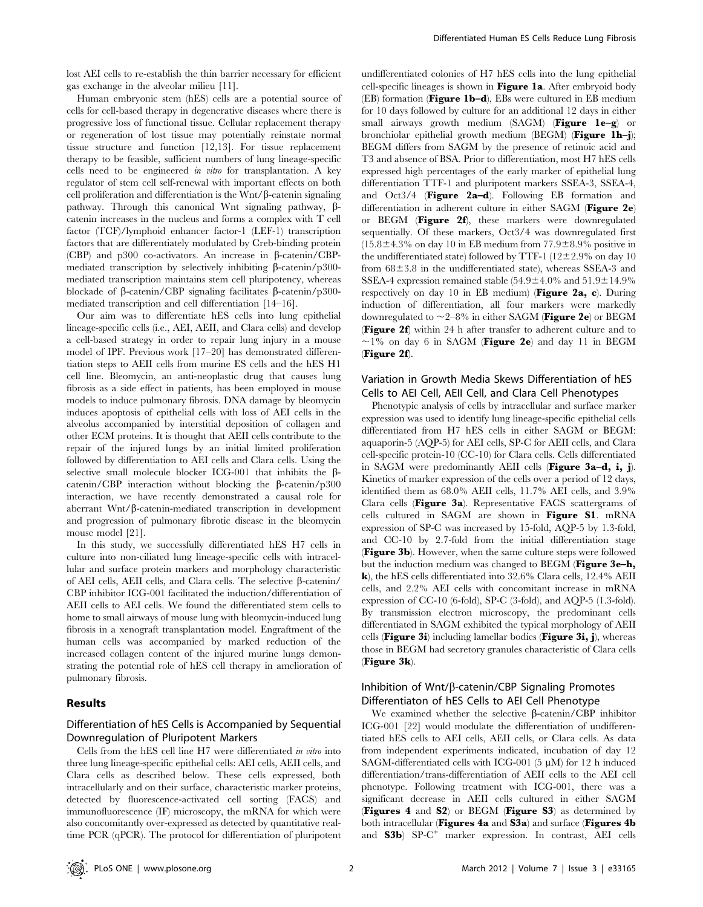lost AEI cells to re-establish the thin barrier necessary for efficient gas exchange in the alveolar milieu [11].

Human embryonic stem (hES) cells are a potential source of cells for cell-based therapy in degenerative diseases where there is progressive loss of functional tissue. Cellular replacement therapy or regeneration of lost tissue may potentially reinstate normal tissue structure and function [12,13]. For tissue replacement therapy to be feasible, sufficient numbers of lung lineage-specific cells need to be engineered in vitro for transplantation. A key regulator of stem cell self-renewal with important effects on both cell proliferation and differentiation is the  $Wnt/\beta$ -catenin signaling pathway. Through this canonical Wnt signaling pathway,  $\beta$ catenin increases in the nucleus and forms a complex with T cell factor (TCF)/lymphoid enhancer factor-1 (LEF-1) transcription factors that are differentiately modulated by Creb-binding protein (CBP) and  $p300$  co-activators. An increase in  $\beta$ -catenin/CBPmediated transcription by selectively inhibiting  $\beta$ -catenin/p300mediated transcription maintains stem cell pluripotency, whereas blockade of  $\beta$ -catenin/CBP signaling facilitates  $\beta$ -catenin/p300mediated transcription and cell differentiation [14–16].

Our aim was to differentiate hES cells into lung epithelial lineage-specific cells (i.e., AEI, AEII, and Clara cells) and develop a cell-based strategy in order to repair lung injury in a mouse model of IPF. Previous work [17–20] has demonstrated differentiation steps to AEII cells from murine ES cells and the hES H1 cell line. Bleomycin, an anti-neoplastic drug that causes lung fibrosis as a side effect in patients, has been employed in mouse models to induce pulmonary fibrosis. DNA damage by bleomycin induces apoptosis of epithelial cells with loss of AEI cells in the alveolus accompanied by interstitial deposition of collagen and other ECM proteins. It is thought that AEII cells contribute to the repair of the injured lungs by an initial limited proliferation followed by differentiation to AEI cells and Clara cells. Using the selective small molecule blocker ICG-001 that inhibits the bcatenin/CBP interaction without blocking the  $\beta$ -catenin/p300 interaction, we have recently demonstrated a causal role for aberrant Wnt/b-catenin-mediated transcription in development and progression of pulmonary fibrotic disease in the bleomycin mouse model [21].

In this study, we successfully differentiated hES H7 cells in culture into non-ciliated lung lineage-specific cells with intracellular and surface protein markers and morphology characteristic of AEI cells, AEII cells, and Clara cells. The selective  $\beta$ -catenin/ CBP inhibitor ICG-001 facilitated the induction/differentiation of AEII cells to AEI cells. We found the differentiated stem cells to home to small airways of mouse lung with bleomycin-induced lung fibrosis in a xenograft transplantation model. Engraftment of the human cells was accompanied by marked reduction of the increased collagen content of the injured murine lungs demonstrating the potential role of hES cell therapy in amelioration of pulmonary fibrosis.

#### Results

# Differentiation of hES Cells is Accompanied by Sequential Downregulation of Pluripotent Markers

Cells from the hES cell line H7 were differentiated in vitro into three lung lineage-specific epithelial cells: AEI cells, AEII cells, and Clara cells as described below. These cells expressed, both intracellularly and on their surface, characteristic marker proteins, detected by fluorescence-activated cell sorting (FACS) and immunofluorescence (IF) microscopy, the mRNA for which were also concomitantly over-expressed as detected by quantitative realtime PCR (qPCR). The protocol for differentiation of pluripotent

undifferentiated colonies of H7 hES cells into the lung epithelial cell-specific lineages is shown in Figure 1a. After embryoid body (EB) formation (Figure 1b–d), EBs were cultured in EB medium for 10 days followed by culture for an additional 12 days in either small airways growth medium (SAGM) (Figure 1e–g) or bronchiolar epithelial growth medium (BEGM) (Figure 1h-j); BEGM differs from SAGM by the presence of retinoic acid and T3 and absence of BSA. Prior to differentiation, most H7 hES cells expressed high percentages of the early marker of epithelial lung differentiation TTF-1 and pluripotent markers SSEA-3, SSEA-4, and Oct3/4 (Figure 2a-d). Following EB formation and differentiation in adherent culture in either SAGM (Figure 2e) or BEGM (Figure 2f), these markers were downregulated sequentially. Of these markers, Oct3/4 was downregulated first  $(15.8\pm4.3\%$  on day 10 in EB medium from  $77.9\pm8.9\%$  positive in the undifferentiated state) followed by TTF-1 ( $12\pm2.9\%$  on day 10 from  $68\pm3.8$  in the undifferentiated state), whereas SSEA-3 and SSEA-4 expression remained stable  $(54.9 \pm 4.0\%$  and  $51.9 \pm 14.9\%$ respectively on day 10 in EB medium) (Figure 2a, c). During induction of differentiation, all four markers were markedly downregulated to  $\sim$  2–8% in either SAGM (Figure 2e) or BEGM (Figure 2f) within 24 h after transfer to adherent culture and to  $\sim$ 1% on day 6 in SAGM (Figure 2e) and day 11 in BEGM (Figure 2f).

# Variation in Growth Media Skews Differentiation of hES Cells to AEI Cell, AEII Cell, and Clara Cell Phenotypes

Phenotypic analysis of cells by intracellular and surface marker expression was used to identify lung lineage-specific epithelial cells differentiated from H7 hES cells in either SAGM or BEGM: aquaporin-5 (AQP-5) for AEI cells, SP-C for AEII cells, and Clara cell-specific protein-10 (CC-10) for Clara cells. Cells differentiated in SAGM were predominantly AEII cells (Figure 3a-d, i, j). Kinetics of marker expression of the cells over a period of 12 days, identified them as 68.0% AEII cells, 11.7% AEI cells, and 3.9% Clara cells (Figure 3a). Representative FACS scattergrams of cells cultured in SAGM are shown in Figure S1. mRNA expression of SP-C was increased by 15-fold, AQP-5 by 1.3-fold, and CC-10 by 2.7-fold from the initial differentiation stage **(Figure 3b).** However, when the same culture steps were followed but the induction medium was changed to BEGM (Figure 3e–h, k), the hES cells differentiated into 32.6% Clara cells, 12.4% AEII cells, and 2.2% AEI cells with concomitant increase in mRNA expression of CC-10 (6-fold), SP-C (3-fold), and AQP-5 (1.3-fold). By transmission electron microscopy, the predominant cells differentiated in SAGM exhibited the typical morphology of AEII cells (Figure 3i) including lamellar bodies (Figure 3i, j), whereas those in BEGM had secretory granules characteristic of Clara cells (Figure 3k).

# Inhibition of Wnt/b-catenin/CBP Signaling Promotes Differentiaton of hES Cells to AEI Cell Phenotype

We examined whether the selective  $\beta$ -catenin/CBP inhibitor ICG-001 [22] would modulate the differentiation of undifferentiated hES cells to AEI cells, AEII cells, or Clara cells. As data from independent experiments indicated, incubation of day 12 SAGM-differentiated cells with ICG-001 (5  $\mu$ M) for 12 h induced differentiation/trans-differentiation of AEII cells to the AEI cell phenotype. Following treatment with ICG-001, there was a significant decrease in AEII cells cultured in either SAGM (Figures 4 and S2) or BEGM (Figure S3) as determined by both intracellular (Figures 4a and S3a) and surface (Figures 4b and **S3b**) SP-C<sup>+</sup> marker expression. In contrast, AEI cells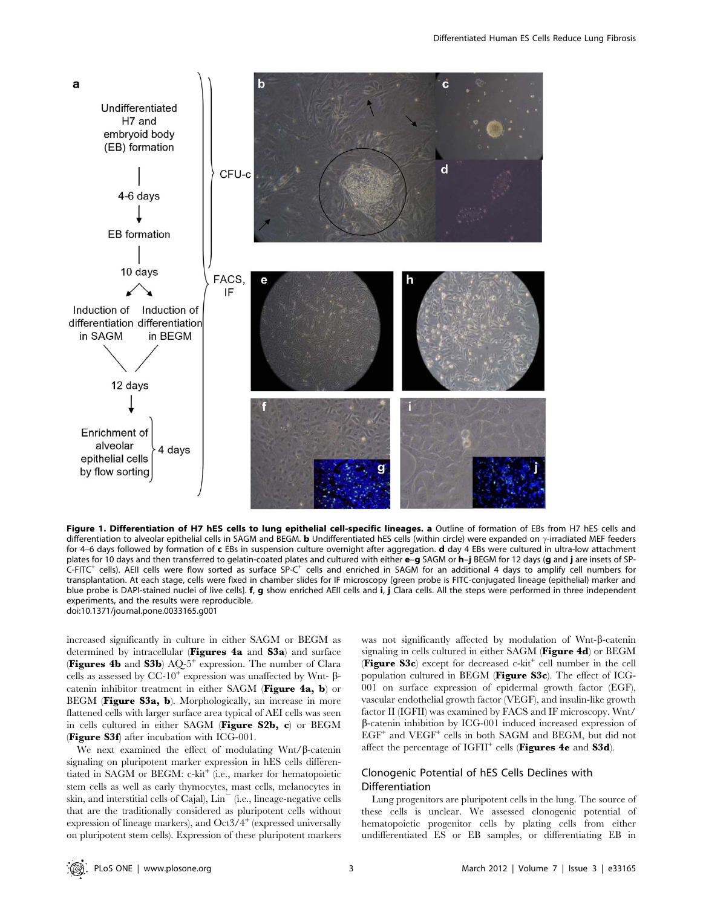

Figure 1. Differentiation of H7 hES cells to lung epithelial cell-specific lineages. a Outline of formation of EBs from H7 hES cells and differentiation to alveolar epithelial cells in SAGM and BEGM. **b** Undifferentiated hES cells (within circle) were expanded on  $\gamma$ -irradiated MEF feeders for 4–6 days followed by formation of c EBs in suspension culture overnight after aggregation. d day 4 EBs were cultured in ultra-low attachment plates for 10 days and then transferred to gelatin-coated plates and cultured with either  $\mathbf{e}$ -g SAGM or  $\mathbf{h}$ -j BEGM for 12 days (g and j are insets of SP- $C$ -FITC<sup>+</sup> cells). AEII cells were flow sorted as surface SP-C<sup>+</sup> cells and enriched in SAGM for an additional 4 days to amplify cell numbers for transplantation. At each stage, cells were fixed in chamber slides for IF microscopy [green probe is FITC-conjugated lineage (epithelial) marker and blue probe is DAPI-stained nuclei of live cells]. f, g show enriched AEII cells and i, j Clara cells. All the steps were performed in three independent experiments, and the results were reproducible. doi:10.1371/journal.pone.0033165.g001

increased significantly in culture in either SAGM or BEGM as determined by intracellular (Figures 4a and S3a) and surface (Figures 4b and S3b)  $AQ-5^+$  expression. The number of Clara cells as assessed by CC-10<sup>+</sup> expression was unaffected by Wnt- $\beta$ catenin inhibitor treatment in either SAGM (Figure 4a, b) or BEGM (Figure S3a, b). Morphologically, an increase in more flattened cells with larger surface area typical of AEI cells was seen in cells cultured in either SAGM (Figure S2b, c) or BEGM (Figure S3f) after incubation with ICG-001.

We next examined the effect of modulating  $Wnt/\beta$ -catenin signaling on pluripotent marker expression in hES cells differentiated in SAGM or BEGM: c-kit<sup>+</sup> (i.e., marker for hematopoietic stem cells as well as early thymocytes, mast cells, melanocytes in skin, and interstitial cells of Cajal),  $\mathrm{Lin}^-$  (i.e., lineage-negative cells that are the traditionally considered as pluripotent cells without expression of lineage markers), and  $Oct3/4^+$  (expressed universally on pluripotent stem cells). Expression of these pluripotent markers

was not significantly affected by modulation of Wnt- $\beta$ -catenin signaling in cells cultured in either SAGM (Figure 4d) or BEGM (Figure S3c) except for decreased c-kit<sup>+</sup> cell number in the cell population cultured in BEGM (Figure S3c). The effect of ICG-001 on surface expression of epidermal growth factor (EGF), vascular endothelial growth factor (VEGF), and insulin-like growth factor II (IGFII) was examined by FACS and IF microscopy. Wnt/ b-catenin inhibition by ICG-001 induced increased expression of  $EGF^+$  and  $VEGF^+$  cells in both SAGM and BEGM, but did not affect the percentage of  $IGFII<sup>+</sup>$  cells (**Figures 4e** and **S3d**).

# Clonogenic Potential of hES Cells Declines with Differentiation

Lung progenitors are pluripotent cells in the lung. The source of these cells is unclear. We assessed clonogenic potential of hematopoietic progenitor cells by plating cells from either undifferentiated ES or EB samples, or differentiating EB in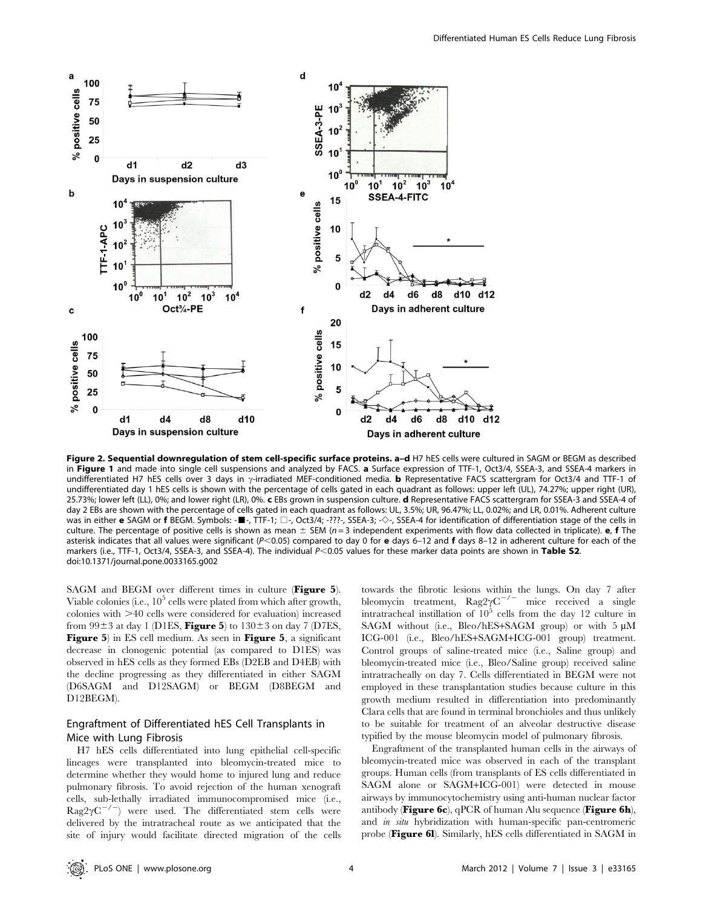

Figure 2. Sequential downregulation of stem cell-specific surface proteins. a-d H7 hES cells were cultured in SAGM or BEGM as described in Figure 1 and made into single cell suspensions and analyzed by FACS. a Surface expression of TTF-1, Oct3/4, SSEA-3, and SSEA-4 markers in undifferentiated H7 hES cells over 3 days in  $\gamma$ -irradiated MEF-conditioned media. **b** Representative FACS scattergram for Oct3/4 and TTF-1 of undifferentiated day 1 hES cells is shown with the percentage of cells gated in each quadrant as follows: upper left (UL), 74.27%; upper right (UR), 25.73%; lower left (LL), 0%; and lower right (LR), 0%. c EBs grown in suspension culture. d Representative FACS scattergram for SSEA-3 and SSEA-4 of day 2 EBs are shown with the percentage of cells gated in each quadrant as follows: UL, 3.5%; UR, 96.47%; LL, 0.02%; and LR, 0.01%. Adherent culture was in either e SAGM or f BEGM. Symbols: - $\blacksquare$ -, TTF-1;  $\square$ -, Oct3/4; -???-, SSEA-3; - $\diamond$ -, SSEA-4 for identification of differentiation stage of the cells in culture. The percentage of positive cells is shown as mean  $\pm$  SEM (n = 3 independent experiments with flow data collected in triplicate). e, f The asterisk indicates that all values were significant (P<0.05) compared to day 0 for e days 6–12 and f days 8–12 in adherent culture for each of the markers (i.e., TTF-1, Oct3/4, SSEA-3, and SSEA-4). The individual  $P<0.05$  values for these marker data points are shown in Table S2. doi:10.1371/journal.pone.0033165.g002

SAGM and BEGM over different times in culture (Figure 5). Viable colonies (i.e.,  $10^5$  cells were plated from which after growth,  $colonies$  with  $>40$  cells were considered for evaluation) increased from 99 $\pm$ 3 at day 1 (D1ES, Figure 5) to 130 $\pm$ 3 on day 7 (D7ES, Figure 5) in ES cell medium. As seen in Figure 5, a significant decrease in clonogenic potential (as compared to D1ES) was observed in hES cells as they formed EBs (D2EB and D4EB) with the decline progressing as they differentiated in either SAGM (D6SAGM and D12SAGM) or BEGM (D8BEGM and D12BEGM).

# Engraftment of Differentiated hES Cell Transplants in Mice with Lung Fibrosis

H7 hES cells differentiated into lung epithelial cell-specific lineages were transplanted into bleomycin-treated mice to determine whether they would home to injured lung and reduce pulmonary fibrosis. To avoid rejection of the human xenograft cells, sub-lethally irradiated immunocompromised mice (i.e.,  $\text{Rag2yC}^{-/-}$ ) were used. The differentiated stem cells were delivered by the intratracheal route as we anticipated that the site of injury would facilitate directed migration of the cells towards the fibrotic lesions within the lungs. On day 7 after bleomycin treatment,  $\text{Rag2yC}^{-/-}$  mice received a single intratracheal instillation of  $10<sup>5</sup>$  cells from the day 12 culture in SAGM without (i.e., Bleo/hES+SAGM group) or with  $5 \mu$ M ICG-001 (i.e., Bleo/hES+SAGM+ICG-001 group) treatment. Control groups of saline-treated mice (i.e., Saline group) and bleomycin-treated mice (i.e., Bleo/Saline group) received saline intratracheally on day 7. Cells differentiated in BEGM were not employed in these transplantation studies because culture in this growth medium resulted in differentiation into predominantly Clara cells that are found in terminal bronchioles and thus unlikely to be suitable for treatment of an alveolar destructive disease typified by the mouse bleomycin model of pulmonary fibrosis.

Engraftment of the transplanted human cells in the airways of bleomycin-treated mice was observed in each of the transplant groups. Human cells (from transplants of ES cells differentiated in SAGM alone or SAGM+ICG-001) were detected in mouse airways by immunocytochemistry using anti-human nuclear factor antibody (**Figure 6c**), qPCR of human Alu sequence (**Figure 6h**), and in situ hybridization with human-specific pan-centromeric probe (Figure 6l). Similarly, hES cells differentiated in SAGM in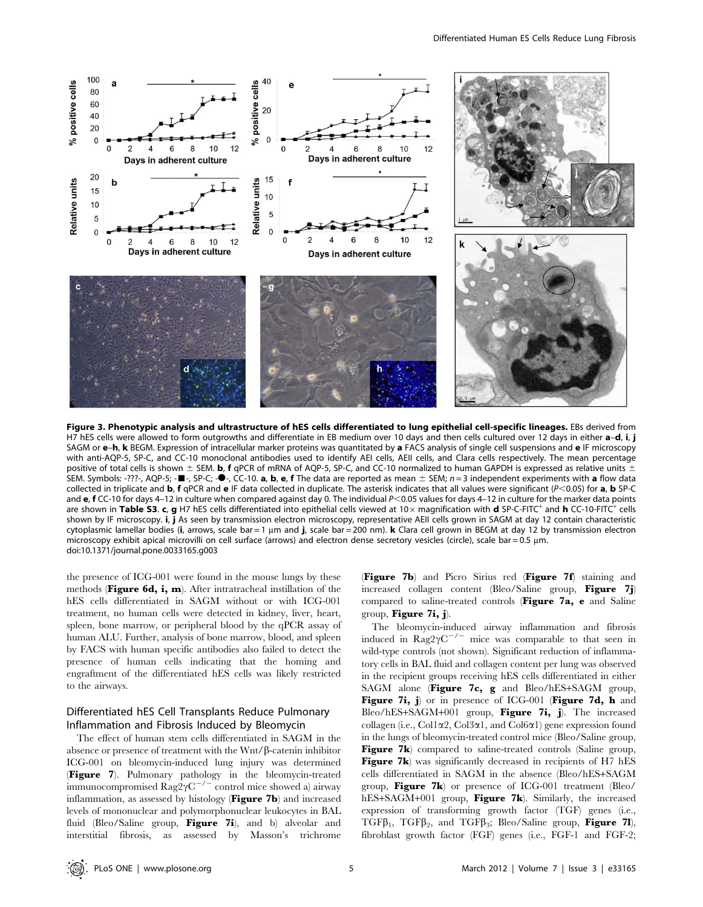

Figure 3. Phenotypic analysis and ultrastructure of hES cells differentiated to lung epithelial cell-specific lineages. EBs derived from H7 hES cells were allowed to form outgrowths and differentiate in EB medium over 10 days and then cells cultured over 12 days in either a-d, i, j SAGM or e-h, k BEGM. Expression of intracellular marker proteins was quantitated by a FACS analysis of single cell suspensions and e IF microscopy with anti-AQP-5, SP-C, and CC-10 monoclonal antibodies used to identify AEI cells, AEII cells, and Clara cells respectively. The mean percentage positive of total cells is shown  $\pm$  SEM. **b**, f qPCR of mRNA of AQP-5, SP-C, and CC-10 normalized to human GAPDH is expressed as relative units  $\pm$ <br>SEM. Symbols: -???-, AQP-5; -**2**-, SP-C; -<sup>6</sup>-, CC-10. **a**, **b**, e, f collected in triplicate and **b**, f qPCR and e IF data collected in duplicate. The asterisk indicates that all values were significant ( $P$ <0.05) for a, **b** SP-C and e, f CC-10 for days 4–12 in culture when compared against day 0. The individual  $P< 0.05$  values for days 4–12 in culture for the marker data points are shown in Table S3. c, g H7 hES cells differentiated into epithelial cells viewed at  $10\times$  magnification with d SP-C-FITC<sup>+</sup> and h CC-10-FITC<sup>+</sup> cells shown by IF microscopy. i, j As seen by transmission electron microscopy, representative AEII cells grown in SAGM at day 12 contain characteristic cytoplasmic lamellar bodies (i, arrows, scale bar = 1  $\mu$ m and j, scale bar = 200 nm). k Clara cell grown in BEGM at day 12 by transmission electron microscopy exhibit apical microvilli on cell surface (arrows) and electron dense secretory vesicles (circle), scale bar = 0.5 µm. doi:10.1371/journal.pone.0033165.g003

the presence of ICG-001 were found in the mouse lungs by these methods (Figure 6d, i, m). After intratracheal instillation of the hES cells differentiated in SAGM without or with ICG-001 treatment, no human cells were detected in kidney, liver, heart, spleen, bone marrow, or peripheral blood by the qPCR assay of human ALU. Further, analysis of bone marrow, blood, and spleen by FACS with human specific antibodies also failed to detect the presence of human cells indicating that the homing and engraftment of the differentiated hES cells was likely restricted to the airways.

# Differentiated hES Cell Transplants Reduce Pulmonary Inflammation and Fibrosis Induced by Bleomycin

The effect of human stem cells differentiated in SAGM in the absence or presence of treatment with the Wnt/ $\beta$ -catenin inhibitor ICG-001 on bleomycin-induced lung injury was determined (Figure 7). Pulmonary pathology in the bleomycin-treated immunocompromised  $\text{Rag2yC}^{-/-}$  control mice showed a) airway inflammation, as assessed by histology (Figure 7b) and increased levels of mononuclear and polymorphonuclear leukocytes in BAL fluid (Bleo/Saline group, Figure 7i), and b) alveolar and interstitial fibrosis, as assessed by Masson's trichrome

(Figure 7b) and Picro Sirius red (Figure 7f) staining and increased collagen content (Bleo/Saline group, Figure 7j) compared to saline-treated controls (Figure 7a, e and Saline group, Figure 7i, j).

The bleomycin-induced airway inflammation and fibrosis induced in  $\text{Rag2yC}^{-/-}$  mice was comparable to that seen in wild-type controls (not shown). Significant reduction of inflammatory cells in BAL fluid and collagen content per lung was observed in the recipient groups receiving hES cells differentiated in either SAGM alone (Figure 7c, g and Bleo/hES+SAGM group, Figure 7i, j) or in presence of ICG-001 (Figure 7d, h and Bleo/hES+SAGM+001 group, Figure 7i, j). The increased collagen (i.e.,  $Col1\alpha2$ ,  $Col3\alpha1$ , and  $Col6\alpha1$ ) gene expression found in the lungs of bleomycin-treated control mice (Bleo/Saline group, Figure 7k) compared to saline-treated controls (Saline group, Figure 7k) was significantly decreased in recipients of H7 hES cells differentiated in SAGM in the absence (Bleo/hES+SAGM group, **Figure 7k**) or presence of ICG-001 treatment  $\langle$ Bleo/ hES+SAGM+001 group, Figure 7k). Similarly, the increased expression of transforming growth factor (TGF) genes (i.e., TGF $\beta_1$ , TGF $\beta_2$ , and TGF $\beta_3$ ; Bleo/Saline group, **Figure 71**), fibroblast growth factor (FGF) genes (i.e., FGF-1 and FGF-2;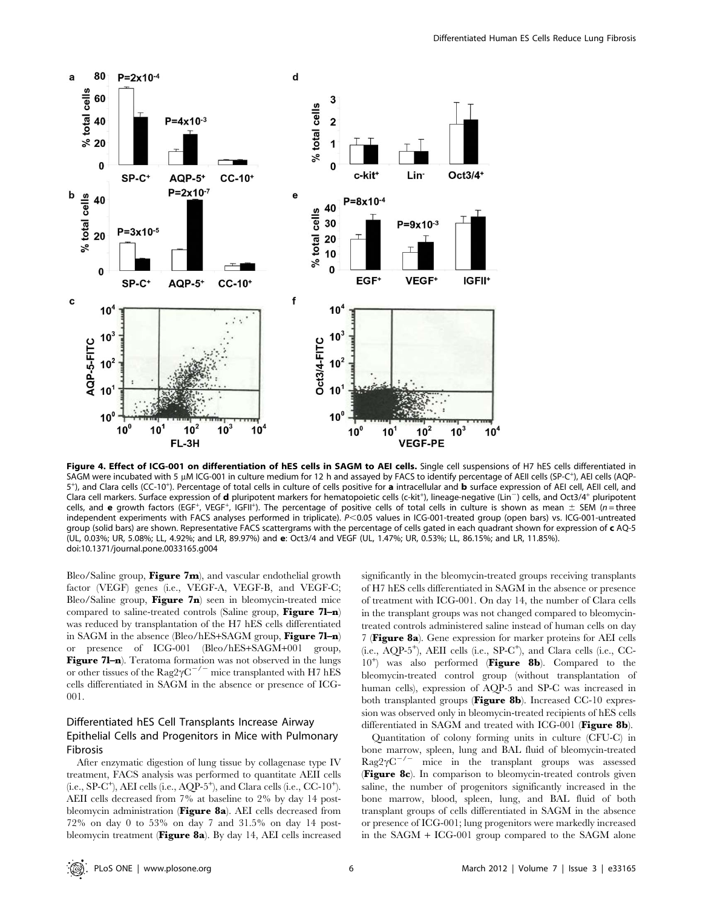

Figure 4. Effect of ICG-001 on differentiation of hES cells in SAGM to AEI cells. Single cell suspensions of H7 hES cells differentiated in SAGM were incubated with 5 µM ICG-001 in culture medium for 12 h and assayed by FACS to identify percentage of AEII cells (SP-C+), AEI cells (AQP-5<sup>+</sup>), and Clara cells (CC-10<sup>+</sup>). Percentage of total cells in culture of cells positive for a intracellular and **b** surface expression of AEI cell, AEII cell, and Clara cell markers. Surface expression of **d** pluripotent markers for hematopoietic cells (c-kit<sup>+</sup>), lineage-negative (Lin<sup>-</sup>) cells, and Oct3/4<sup>+</sup> pluripotent cells, and e growth factors (EGF<sup>+</sup>, VEGF<sup>+</sup>, IGFII<sup>+</sup>). The percentage of positive cells of total cells in culture is shown as mean  $\pm$  SEM (n = three independent experiments with FACS analyses performed in triplicate). P<0.05 values in ICG-001-treated group (open bars) vs. ICG-001-untreated group (solid bars) are shown. Representative FACS scattergrams with the percentage of cells gated in each quadrant shown for expression of c AQ-5 (UL, 0.03%; UR, 5.08%; LL, 4.92%; and LR, 89.97%) and e: Oct3/4 and VEGF (UL, 1.47%; UR, 0.53%; LL, 86.15%; and LR, 11.85%). doi:10.1371/journal.pone.0033165.g004

Bleo/Saline group, Figure 7m), and vascular endothelial growth factor (VEGF) genes (i.e., VEGF-A, VEGF-B, and VEGF-C; Bleo/Saline group, Figure 7n) seen in bleomycin-treated mice compared to saline-treated controls (Saline group, Figure 71-n) was reduced by transplantation of the H7 hES cells differentiated in SAGM in the absence (Bleo/hES+SAGM group, Figure 7l-n) or presence of ICG-001 (Bleo/hES+SAGM+001 group, Figure 71-n). Teratoma formation was not observed in the lungs or other tissues of the Rag2 $\gamma$ C<sup>-/-</sup> mice transplanted with H7 hES cells differentiated in SAGM in the absence or presence of ICG-001.

# Differentiated hES Cell Transplants Increase Airway Epithelial Cells and Progenitors in Mice with Pulmonary Fibrosis

After enzymatic digestion of lung tissue by collagenase type IV treatment, FACS analysis was performed to quantitate AEII cells (i.e., SP-C<sup>+</sup>), AEI cells (i.e., AQP-5<sup>+</sup>), and Clara cells (i.e., CC-10<sup>+</sup>). AEII cells decreased from 7% at baseline to 2% by day 14 postbleomycin administration (Figure 8a). AEI cells decreased from 72% on day 0 to 53% on day 7 and 31.5% on day 14 postbleomycin treatment (Figure 8a). By day 14, AEI cells increased significantly in the bleomycin-treated groups receiving transplants of H7 hES cells differentiated in SAGM in the absence or presence of treatment with ICG-001. On day 14, the number of Clara cells in the transplant groups was not changed compared to bleomycintreated controls administered saline instead of human cells on day 7 (Figure 8a). Gene expression for marker proteins for AEI cells (i.e., AQP-5<sup>+</sup> ), AEII cells (i.e., SP-C<sup>+</sup> ), and Clara cells (i.e., CC-10<sup>+</sup> ) was also performed (Figure 8b). Compared to the bleomycin-treated control group (without transplantation of human cells), expression of AQP-5 and SP-C was increased in both transplanted groups (Figure 8b). Increased CC-10 expression was observed only in bleomycin-treated recipients of hES cells differentiated in SAGM and treated with ICG-001 (Figure 8b).

Quantitation of colony forming units in culture (CFU-C) in bone marrow, spleen, lung and BAL fluid of bleomycin-treated  $\text{Rag2yC}^{-/-}$  mice in the transplant groups was assessed (Figure 8c). In comparison to bleomycin-treated controls given saline, the number of progenitors significantly increased in the bone marrow, blood, spleen, lung, and BAL fluid of both transplant groups of cells differentiated in SAGM in the absence or presence of ICG-001; lung progenitors were markedly increased in the SAGM + ICG-001 group compared to the SAGM alone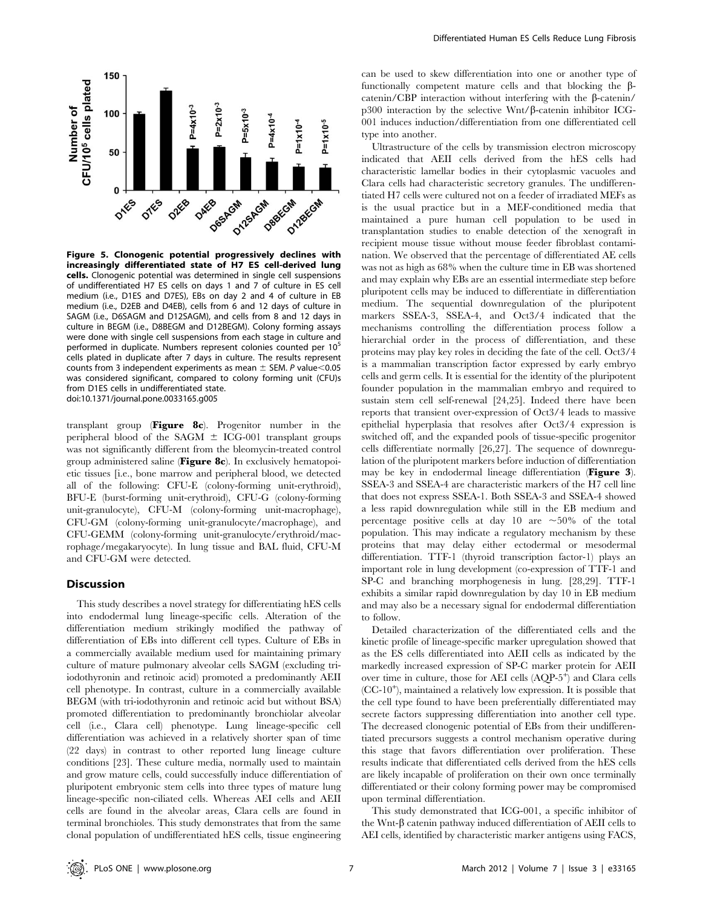

Figure 5. Clonogenic potential progressively declines with increasingly differentiated state of H7 ES cell-derived lung cells. Clonogenic potential was determined in single cell suspensions of undifferentiated H7 ES cells on days 1 and 7 of culture in ES cell medium (i.e., D1ES and D7ES), EBs on day 2 and 4 of culture in EB medium (i.e., D2EB and D4EB), cells from 6 and 12 days of culture in SAGM (i.e., D6SAGM and D12SAGM), and cells from 8 and 12 days in culture in BEGM (i.e., D8BEGM and D12BEGM). Colony forming assays were done with single cell suspensions from each stage in culture and performed in duplicate. Numbers represent colonies counted per 10<sup>5</sup> cells plated in duplicate after 7 days in culture. The results represent counts from 3 independent experiments as mean  $\pm$  SEM. P value $<$ 0.05 was considered significant, compared to colony forming unit (CFU)s from D1ES cells in undifferentiated state. doi:10.1371/journal.pone.0033165.g005

transplant group (Figure 8c). Progenitor number in the peripheral blood of the SAGM  $\pm$  ICG-001 transplant groups was not significantly different from the bleomycin-treated control group administered saline (Figure 8c). In exclusively hematopoietic tissues [i.e., bone marrow and peripheral blood, we detected all of the following: CFU-E (colony-forming unit-erythroid), BFU-E (burst-forming unit-erythroid), CFU-G (colony-forming unit-granulocyte), CFU-M (colony-forming unit-macrophage), CFU-GM (colony-forming unit-granulocyte/macrophage), and CFU-GEMM (colony-forming unit-granulocyte/erythroid/macrophage/megakaryocyte). In lung tissue and BAL fluid, CFU-M and CFU-GM were detected.

## Discussion

This study describes a novel strategy for differentiating hES cells into endodermal lung lineage-specific cells. Alteration of the differentiation medium strikingly modified the pathway of differentiation of EBs into different cell types. Culture of EBs in a commercially available medium used for maintaining primary culture of mature pulmonary alveolar cells SAGM (excluding triiodothyronin and retinoic acid) promoted a predominantly AEII cell phenotype. In contrast, culture in a commercially available BEGM (with tri-iodothyronin and retinoic acid but without BSA) promoted differentiation to predominantly bronchiolar alveolar cell (i.e., Clara cell) phenotype. Lung lineage-specific cell differentiation was achieved in a relatively shorter span of time (22 days) in contrast to other reported lung lineage culture conditions [23]. These culture media, normally used to maintain and grow mature cells, could successfully induce differentiation of pluripotent embryonic stem cells into three types of mature lung lineage-specific non-ciliated cells. Whereas AEI cells and AEII cells are found in the alveolar areas, Clara cells are found in terminal bronchioles. This study demonstrates that from the same clonal population of undifferentiated hES cells, tissue engineering

can be used to skew differentiation into one or another type of functionally competent mature cells and that blocking the  $\beta$ catenin/CBP interaction without interfering with the  $\beta$ -catenin/ p300 interaction by the selective Wnt/ $\beta$ -catenin inhibitor ICG-001 induces induction/differentiation from one differentiated cell type into another.

Ultrastructure of the cells by transmission electron microscopy indicated that AEII cells derived from the hES cells had characteristic lamellar bodies in their cytoplasmic vacuoles and Clara cells had characteristic secretory granules. The undifferentiated H7 cells were cultured not on a feeder of irradiated MEFs as is the usual practice but in a MEF-conditioned media that maintained a pure human cell population to be used in transplantation studies to enable detection of the xenograft in recipient mouse tissue without mouse feeder fibroblast contamination. We observed that the percentage of differentiated AE cells was not as high as 68% when the culture time in EB was shortened and may explain why EBs are an essential intermediate step before pluripotent cells may be induced to differentiate in differentiation medium. The sequential downregulation of the pluripotent markers SSEA-3, SSEA-4, and Oct3/4 indicated that the mechanisms controlling the differentiation process follow a hierarchial order in the process of differentiation, and these proteins may play key roles in deciding the fate of the cell. Oct3/4 is a mammalian transcription factor expressed by early embryo cells and germ cells. It is essential for the identity of the pluripotent founder population in the mammalian embryo and required to sustain stem cell self-renewal [24,25]. Indeed there have been reports that transient over-expression of Oct3/4 leads to massive epithelial hyperplasia that resolves after Oct3/4 expression is switched off, and the expanded pools of tissue-specific progenitor cells differentiate normally [26,27]. The sequence of downregulation of the pluripotent markers before induction of differentiation may be key in endodermal lineage differentiation (Figure 3). SSEA-3 and SSEA-4 are characteristic markers of the H7 cell line that does not express SSEA-1. Both SSEA-3 and SSEA-4 showed a less rapid downregulation while still in the EB medium and percentage positive cells at day 10 are  $\sim 50\%$  of the total population. This may indicate a regulatory mechanism by these proteins that may delay either ectodermal or mesodermal differentiation. TTF-1 (thyroid transcription factor-1) plays an important role in lung development (co-expression of TTF-1 and SP-C and branching morphogenesis in lung. [28,29]. TTF-1 exhibits a similar rapid downregulation by day 10 in EB medium and may also be a necessary signal for endodermal differentiation to follow.

Detailed characterization of the differentiated cells and the kinetic profile of lineage-specific marker upregulation showed that as the ES cells differentiated into AEII cells as indicated by the markedly increased expression of SP-C marker protein for AEII over time in culture, those for AEI cells  $(AQP-5^+)$  and Clara cells (CC-10<sup>+</sup> ), maintained a relatively low expression. It is possible that the cell type found to have been preferentially differentiated may secrete factors suppressing differentiation into another cell type. The decreased clonogenic potential of EBs from their undifferentiated precursors suggests a control mechanism operative during this stage that favors differentiation over proliferation. These results indicate that differentiated cells derived from the hES cells are likely incapable of proliferation on their own once terminally differentiated or their colony forming power may be compromised upon terminal differentiation.

This study demonstrated that ICG-001, a specific inhibitor of the Wnt- $\beta$  catenin pathway induced differentiation of AEII cells to AEI cells, identified by characteristic marker antigens using FACS,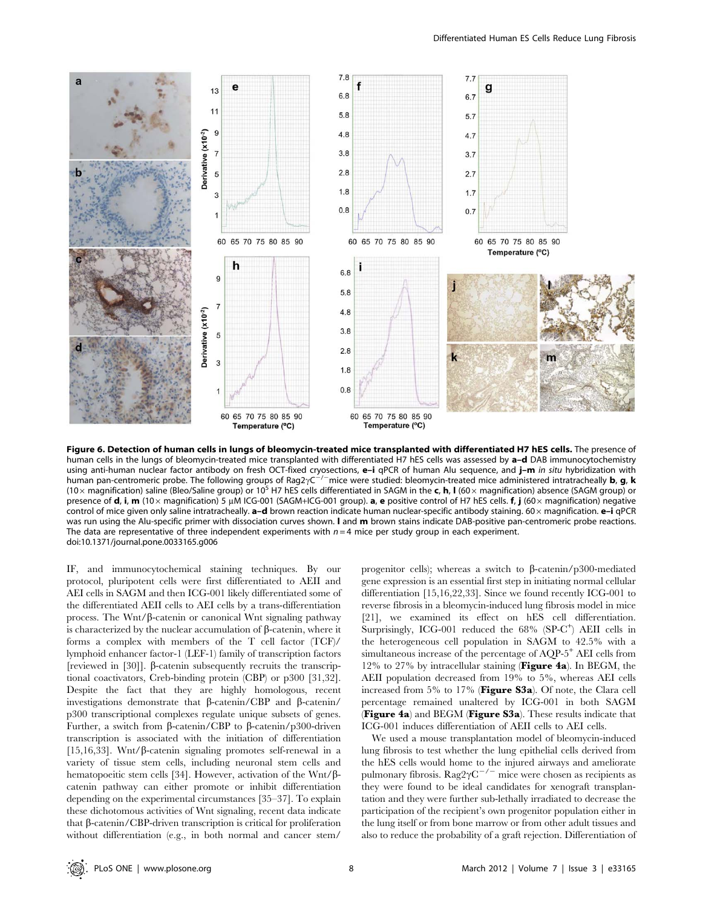

Figure 6. Detection of human cells in lungs of bleomycin-treated mice transplanted with differentiated H7 hES cells. The presence of human cells in the lungs of bleomycin-treated mice transplanted with differentiated H7 hES cells was assessed by a-d DAB immunocytochemistry using anti-human nuclear factor antibody on fresh OCT-fixed cryosections, e-i qPCR of human Alu sequence, and j-m in situ hybridization with human pan-centromeric probe. The following groups of Rag2 $\gamma C^{-/-}$  mice were studied: bleomycin-treated mice administered intratracheally **b**, g, k (10 $\times$  magnification) saline (Bleo/Saline group) or 10<sup>5</sup> H7 hES cells differentiated in SAGM in the c, **h**, I (60 $\times$  magnification) absence (SAGM group) or presence of d, i, m (10 $\times$  magnification) 5 µM ICG-001 (SAGM+ICG-001 group). a, e positive control of H7 hES cells. f, j (60 $\times$  magnification) negative control of mice given only saline intratracheally.  $a-d$  brown reaction indicate human nuclear-specific antibody staining.  $60 \times$  magnification.  $e-i$  qPCR was run using the Alu-specific primer with dissociation curves shown. I and m brown stains indicate DAB-positive pan-centromeric probe reactions. The data are representative of three independent experiments with  $n = 4$  mice per study group in each experiment. doi:10.1371/journal.pone.0033165.g006

IF, and immunocytochemical staining techniques. By our protocol, pluripotent cells were first differentiated to AEII and AEI cells in SAGM and then ICG-001 likely differentiated some of the differentiated AEII cells to AEI cells by a trans-differentiation process. The Wnt/ $\beta$ -catenin or canonical Wnt signaling pathway is characterized by the nuclear accumulation of  $\beta$ -catenin, where it forms a complex with members of the T cell factor (TCF)/ lymphoid enhancer factor-1 (LEF-1) family of transcription factors [reviewed in [30]]. b-catenin subsequently recruits the transcriptional coactivators, Creb-binding protein (CBP) or p300 [31,32]. Despite the fact that they are highly homologous, recent investigations demonstrate that  $\beta$ -catenin/CBP and  $\beta$ -catenin/ p300 transcriptional complexes regulate unique subsets of genes. Further, a switch from  $\beta$ -catenin/CBP to  $\beta$ -catenin/p300-driven transcription is associated with the initiation of differentiation [15,16,33]. Wnt/ $\beta$ -catenin signaling promotes self-renewal in a variety of tissue stem cells, including neuronal stem cells and hematopoeitic stem cells [34]. However, activation of the Wnt/ $\beta$ catenin pathway can either promote or inhibit differentiation depending on the experimental circumstances [35–37]. To explain these dichotomous activities of Wnt signaling, recent data indicate that  $\beta$ -catenin/CBP-driven transcription is critical for proliferation without differentiation (e.g., in both normal and cancer stem/

progenitor cells); whereas a switch to  $\beta$ -catenin/p300-mediated gene expression is an essential first step in initiating normal cellular differentiation [15,16,22,33]. Since we found recently ICG-001 to reverse fibrosis in a bleomycin-induced lung fibrosis model in mice [21], we examined its effect on hES cell differentiation. Surprisingly, ICG-001 reduced the 68% (SP-C<sup>+</sup>) AEII cells in the heterogeneous cell population in SAGM to 42.5% with a simultaneous increase of the percentage of AQP-5<sup>+</sup> AEI cells from 12% to 27% by intracellular staining (Figure 4a). In BEGM, the AEII population decreased from 19% to 5%, whereas AEI cells increased from 5% to 17% (Figure S3a). Of note, the Clara cell percentage remained unaltered by ICG-001 in both SAGM (Figure 4a) and BEGM (Figure S3a). These results indicate that ICG-001 induces differentiation of AEII cells to AEI cells.

We used a mouse transplantation model of bleomycin-induced lung fibrosis to test whether the lung epithelial cells derived from the hES cells would home to the injured airways and ameliorate pulmonary fibrosis.  $\text{Rag2yC}^{-/-}$  mice were chosen as recipients as they were found to be ideal candidates for xenograft transplantation and they were further sub-lethally irradiated to decrease the participation of the recipient's own progenitor population either in the lung itself or from bone marrow or from other adult tissues and also to reduce the probability of a graft rejection. Differentiation of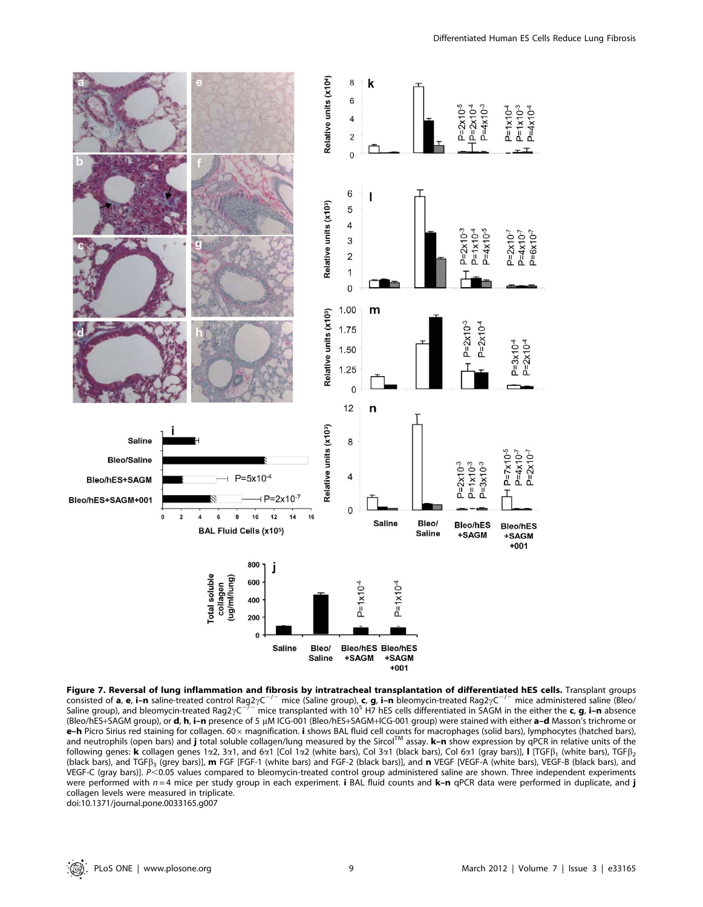

Figure 7. Reversal of lung inflammation and fibrosis by intratracheal transplantation of differentiated hES cells. Transplant groups consisted of a, e, i–n saline-treated control Rag2 $\gamma$ C<sup>-/-</sup> mice (Saline group), c, g, i–n bleomycin-treated Rag2 $\gamma$ C<sup>-/-</sup> mice administered saline (Bleo/ Saline group), and bleomycin-treated Rag2 $\gamma$ C $^{-7}$  mice transplanted with 10<sup>5</sup> H7 hES cells differentiated in SAGM in the either the c, g, i–n absence (Bleo/hES+SAGM group), or d, h, i-n presence of 5 µM ICG-001 (Bleo/hES+SAGM+ICG-001 group) were stained with either a-d Masson's trichrome or **e−h** Picro Sirius red staining for collagen. 60×magnification. **i** shows BAL fluid cell counts for macrophages (solid bars), lymphocytes (hatched bars),<br>and neutrophils (open bars) and **j** total soluble collagen/lung mea following genes: k collagen genes 1a2, 3a1, and 6a1 [Col 1a2 (white bars), Col 3a1 (black bars), Col 6a1 (gray bars)], I [TGF $\beta_1$  (white bars), TGF $\beta_2$ (black bars), and TGF $\beta_3$  (grey bars)], m FGF [FGF-1 (white bars) and FGF-2 (black bars)], and n VEGF [VEGF-A (white bars), VEGF-B (black bars), and VEGF-C (gray bars)]. P<0.05 values compared to bleomycin-treated control group administered saline are shown. Three independent experiments were performed with  $n = 4$  mice per study group in each experiment. **i** BAL fluid counts and  $k-n$  qPCR data were performed in duplicate, and **j** collagen levels were measured in triplicate. doi:10.1371/journal.pone.0033165.g007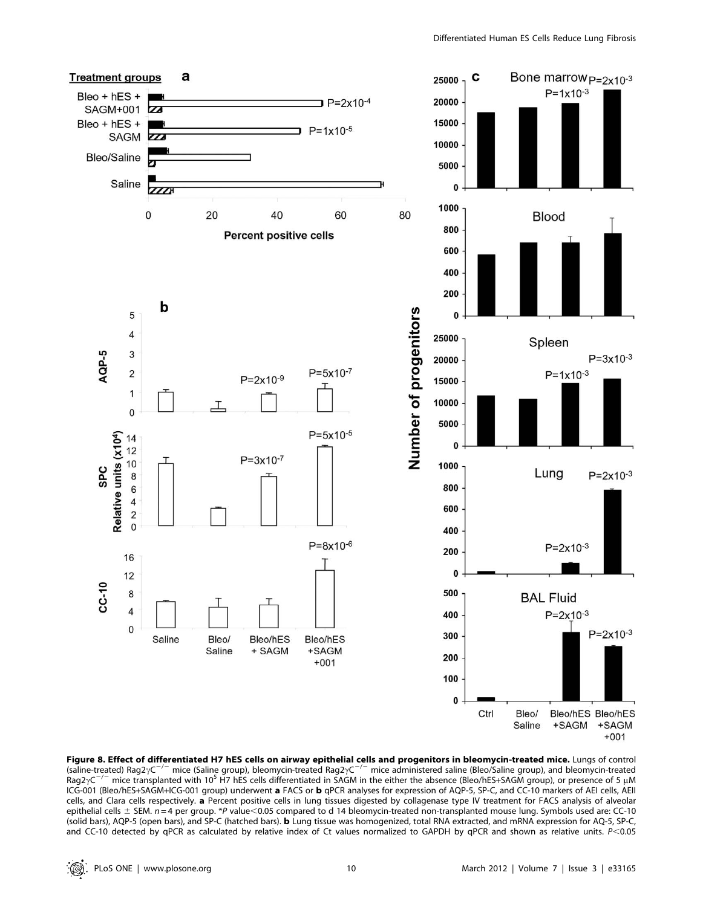

Figure 8. Effect of differentiated H7 hES cells on airway epithelial cells and progenitors in bleomycin-treated mice. Lungs of control (saline-treated) Rag2 $\gamma$ C<sup>-/-</sup> mice (Saline group), bleomycin-treated Rag2 $\gamma$ C<sup>-/-</sup> mice administered saline (Bleo/Saline group), and bleomycin-treated Rag2 $\gamma$ C<sup>-/-</sup> mice transplanted with 10<sup>5</sup> H7 hES cells differentiated in SAGM in the either the absence (Bleo/hES+SAGM group), or presence of 5 µM ICG-001 (Bleo/hES+SAGM+ICG-001 group) underwent a FACS or b qPCR analyses for expression of AQP-5, SP-C, and CC-10 markers of AEI cells, AEII cells, and Clara cells respectively. a Percent positive cells in lung tissues digested by collagenase type IV treatment for FACS analysis of alveolar epithelial cells  $\pm$  SEM. n = 4 per group. \*P value<0.05 compared to d 14 bleomycin-treated non-transplanted mouse lung. Symbols used are: CC-10 (solid bars), AQP-5 (open bars), and SP-C (hatched bars). b Lung tissue was homogenized, total RNA extracted, and mRNA expression for AQ-5, SP-C, and CC-10 detected by qPCR as calculated by relative index of Ct values normalized to GAPDH by qPCR and shown as relative units. P<0.05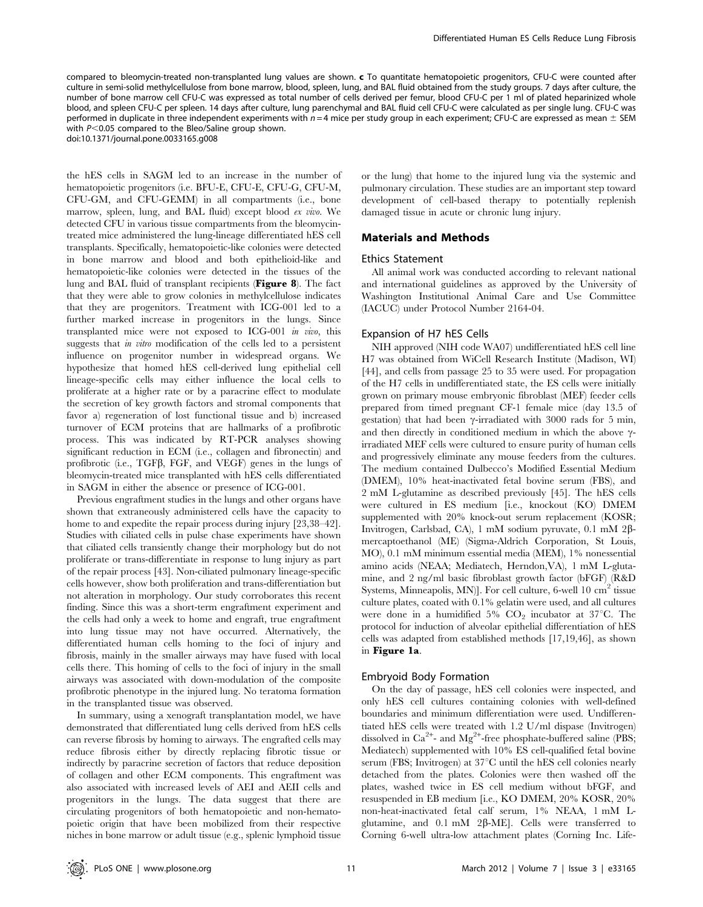compared to bleomycin-treated non-transplanted lung values are shown. c To quantitate hematopoietic progenitors, CFU-C were counted after culture in semi-solid methylcellulose from bone marrow, blood, spleen, lung, and BAL fluid obtained from the study groups. 7 days after culture, the number of bone marrow cell CFU-C was expressed as total number of cells derived per femur, blood CFU-C per 1 ml of plated heparinized whole blood, and spleen CFU-C per spleen. 14 days after culture, lung parenchymal and BAL fluid cell CFU-C were calculated as per single lung. CFU-C was performed in duplicate in three independent experiments with  $n = 4$  mice per study group in each experiment; CFU-C are expressed as mean  $\pm$  SEM with  $P<0.05$  compared to the Bleo/Saline group shown. doi:10.1371/journal.pone.0033165.g008

the hES cells in SAGM led to an increase in the number of hematopoietic progenitors (i.e. BFU-E, CFU-E, CFU-G, CFU-M, CFU-GM, and CFU-GEMM) in all compartments (i.e., bone marrow, spleen, lung, and BAL fluid) except blood ex vivo. We detected CFU in various tissue compartments from the bleomycintreated mice administered the lung-lineage differentiated hES cell transplants. Specifically, hematopoietic-like colonies were detected in bone marrow and blood and both epithelioid-like and hematopoietic-like colonies were detected in the tissues of the lung and BAL fluid of transplant recipients (Figure 8). The fact that they were able to grow colonies in methylcellulose indicates that they are progenitors. Treatment with ICG-001 led to a further marked increase in progenitors in the lungs. Since transplanted mice were not exposed to ICG-001 in vivo, this suggests that in vitro modification of the cells led to a persistent influence on progenitor number in widespread organs. We hypothesize that homed hES cell-derived lung epithelial cell lineage-specific cells may either influence the local cells to proliferate at a higher rate or by a paracrine effect to modulate the secretion of key growth factors and stromal components that favor a) regeneration of lost functional tissue and b) increased turnover of ECM proteins that are hallmarks of a profibrotic process. This was indicated by RT-PCR analyses showing significant reduction in ECM (i.e., collagen and fibronectin) and profibrotic (i.e., TGF $\beta$ , FGF, and VEGF) genes in the lungs of bleomycin-treated mice transplanted with hES cells differentiated in SAGM in either the absence or presence of ICG-001.

Previous engraftment studies in the lungs and other organs have shown that extraneously administered cells have the capacity to home to and expedite the repair process during injury [23,38–42]. Studies with ciliated cells in pulse chase experiments have shown that ciliated cells transiently change their morphology but do not proliferate or trans-differentiate in response to lung injury as part of the repair process [43]. Non-ciliated pulmonary lineage-specific cells however, show both proliferation and trans-differentiation but not alteration in morphology. Our study corroborates this recent finding. Since this was a short-term engraftment experiment and the cells had only a week to home and engraft, true engraftment into lung tissue may not have occurred. Alternatively, the differentiated human cells homing to the foci of injury and fibrosis, mainly in the smaller airways may have fused with local cells there. This homing of cells to the foci of injury in the small airways was associated with down-modulation of the composite profibrotic phenotype in the injured lung. No teratoma formation in the transplanted tissue was observed.

In summary, using a xenograft transplantation model, we have demonstrated that differentiated lung cells derived from hES cells can reverse fibrosis by homing to airways. The engrafted cells may reduce fibrosis either by directly replacing fibrotic tissue or indirectly by paracrine secretion of factors that reduce deposition of collagen and other ECM components. This engraftment was also associated with increased levels of AEI and AEII cells and progenitors in the lungs. The data suggest that there are circulating progenitors of both hematopoietic and non-hematopoietic origin that have been mobilized from their respective niches in bone marrow or adult tissue (e.g., splenic lymphoid tissue

or the lung) that home to the injured lung via the systemic and pulmonary circulation. These studies are an important step toward development of cell-based therapy to potentially replenish damaged tissue in acute or chronic lung injury.

## Materials and Methods

#### Ethics Statement

All animal work was conducted according to relevant national and international guidelines as approved by the University of Washington Institutional Animal Care and Use Committee (IACUC) under Protocol Number 2164-04.

#### Expansion of H7 hES Cells

NIH approved (NIH code WA07) undifferentiated hES cell line H7 was obtained from WiCell Research Institute (Madison, WI) [44], and cells from passage 25 to 35 were used. For propagation of the H7 cells in undifferentiated state, the ES cells were initially grown on primary mouse embryonic fibroblast (MEF) feeder cells prepared from timed pregnant CF-1 female mice (day 13.5 of gestation) that had been  $\gamma$ -irradiated with 3000 rads for 5 min, and then directly in conditioned medium in which the above  $\gamma$ irradiated MEF cells were cultured to ensure purity of human cells and progressively eliminate any mouse feeders from the cultures. The medium contained Dulbecco's Modified Essential Medium (DMEM), 10% heat-inactivated fetal bovine serum (FBS), and 2 mM L-glutamine as described previously [45]. The hES cells were cultured in ES medium [i.e., knockout (KO) DMEM supplemented with 20% knock-out serum replacement (KOSR; Invitrogen, Carlsbad, CA), 1 mM sodium pyruvate, 0.1 mM 2bmercaptoethanol (ME) (Sigma-Aldrich Corporation, St Louis, MO), 0.1 mM minimum essential media (MEM), 1% nonessential amino acids (NEAA; Mediatech, Herndon,VA), 1 mM L-glutamine, and 2 ng/ml basic fibroblast growth factor (bFGF) (R&D Systems, Minneapolis, MN). For cell culture, 6-well  $10 \text{ cm}^2$  tissue culture plates, coated with 0.1% gelatin were used, and all cultures were done in a humidified 5%  $CO<sub>2</sub>$  incubator at 37°C. The protocol for induction of alveolar epithelial differentiation of hES cells was adapted from established methods [17,19,46], as shown in Figure 1a.

#### Embryoid Body Formation

On the day of passage, hES cell colonies were inspected, and only hES cell cultures containing colonies with well-defined boundaries and minimum differentiation were used. Undifferentiated hES cells were treated with 1.2 U/ml dispase (Invitrogen) dissolved in  $Ca^{2+}$ - and  $Mg^{2+}$ -free phosphate-buffered saline (PBS; Mediatech) supplemented with 10% ES cell-qualified fetal bovine serum (FBS; Invitrogen) at 37°C until the hES cell colonies nearly detached from the plates. Colonies were then washed off the plates, washed twice in ES cell medium without bFGF, and resuspended in EB medium [i.e., KO DMEM, 20% KOSR, 20% non-heat-inactivated fetal calf serum, 1% NEAA, 1 mM Lglutamine, and 0.1 mM 2β-ME]. Cells were transferred to Corning 6-well ultra-low attachment plates (Corning Inc. Life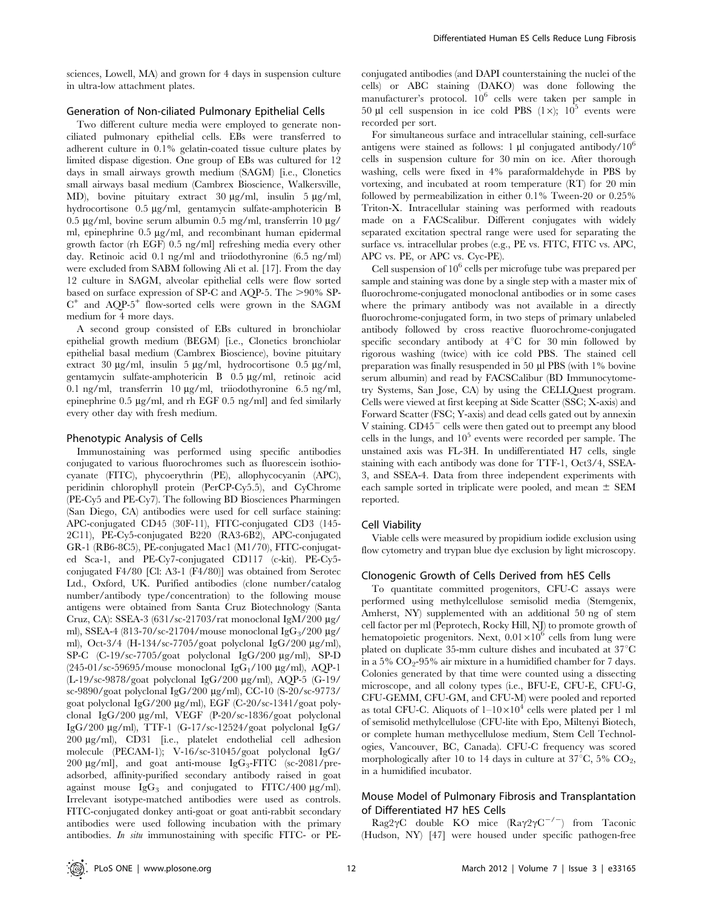sciences, Lowell, MA) and grown for 4 days in suspension culture in ultra-low attachment plates.

#### Generation of Non-ciliated Pulmonary Epithelial Cells

Two different culture media were employed to generate nonciliated pulmonary epithelial cells. EBs were transferred to adherent culture in 0.1% gelatin-coated tissue culture plates by limited dispase digestion. One group of EBs was cultured for 12 days in small airways growth medium (SAGM) [i.e., Clonetics small airways basal medium (Cambrex Bioscience, Walkersville, MD), bovine pituitary extract 30 ug/ml, insulin 5 ug/ml, hydrocortisone 0.5 ug/ml, gentamycin sulfate-amphotericin B 0.5  $\mu$ g/ml, bovine serum albumin 0.5 mg/ml, transferrin 10  $\mu$ g/ ml, epinephrine 0.5  $\mu$ g/ml, and recombinant human epidermal growth factor (rh EGF) 0.5 ng/ml] refreshing media every other day. Retinoic acid 0.1 ng/ml and triiodothyronine (6.5 ng/ml) were excluded from SABM following Ali et al. [17]. From the day 12 culture in SAGM, alveolar epithelial cells were flow sorted based on surface expression of SP-C and AQP-5. The  $>90\%$  SP- $C^+$  and AQP-5<sup>+</sup> flow-sorted cells were grown in the SAGM medium for 4 more days.

A second group consisted of EBs cultured in bronchiolar epithelial growth medium (BEGM) [i.e., Clonetics bronchiolar epithelial basal medium (Cambrex Bioscience), bovine pituitary extract 30  $\mu$ g/ml, insulin 5  $\mu$ g/ml, hydrocortisone 0.5  $\mu$ g/ml, gentamycin sulfate-amphotericin B  $0.5 \mu g/ml$ , retinoic acid 0.1 ng/ml, transferrin 10  $\mu$ g/ml, triiodothyronine 6.5 ng/ml, epinephrine  $0.5 \mu g/ml$ , and rh EGF  $0.5 \mu g/ml$  and fed similarly every other day with fresh medium.

#### Phenotypic Analysis of Cells

Immunostaining was performed using specific antibodies conjugated to various fluorochromes such as fluorescein isothiocyanate (FITC), phycoerythrin (PE), allophycocyanin (APC), peridinin chlorophyll protein (PerCP-Cy5.5), and CyChrome (PE-Cy5 and PE-Cy7). The following BD Biosciences Pharmingen (San Diego, CA) antibodies were used for cell surface staining: APC-conjugated CD45 (30F-11), FITC-conjugated CD3 (145- 2C11), PE-Cy5-conjugated B220 (RA3-6B2), APC-conjugated GR-1 (RB6-8C5), PE-conjugated Mac1 (M1/70), FITC-conjugated Sca-1, and PE-Cy7-conjugated CD117 (c-kit). PE-Cy5 conjugated F4/80 [Cl: A3-1 (F4/80)] was obtained from Serotec Ltd., Oxford, UK. Purified antibodies (clone number/catalog number/antibody type/concentration) to the following mouse antigens were obtained from Santa Cruz Biotechnology (Santa Cruz, CA): SSEA-3 (631/sc-21703/rat monoclonal IgM/200 mg/ ml), SSEA-4 (813-70/sc-21704/mouse monoclonal  $IgG_3/200 \mu g$ / ml), Oct-3/4 (H-134/sc-7705/goat polyclonal IgG/200  $\mu$ g/ml), SP-C  $(C-19/\text{sc}-7705/\text{goat}$  polyclonal IgG/200  $\mu$ g/ml), SP-D  $(245-01/\text{sc}-59695/\text{mouse monoclonal IgG}_1/100 \text{ µg/ml})$ , AQP-1 (L-19/sc-9878/goat polyclonal IgG/200 mg/ml), AQP-5 (G-19/ sc-9890/goat polyclonal IgG/200 μg/ml), CC-10 (S-20/sc-9773/ goat polyclonal IgG/200 mg/ml), EGF (C-20/sc-1341/goat polyclonal IgG/200 mg/ml, VEGF (P-20/sc-1836/goat polyclonal IgG/200  $\mu$ g/ml), TTF-1 (G-17/sc-12524/goat polyclonal IgG/ 200 mg/ml), CD31 [i.e., platelet endothelial cell adhesion molecule (PECAM-1); V-16/sc-31045/goat polyclonal IgG/ 200  $\mu$ g/ml], and goat anti-mouse IgG<sub>3</sub>-FITC (sc-2081/preadsorbed, affinity-purified secondary antibody raised in goat against mouse  $IgG_3$  and conjugated to FITC/400  $\mu$ g/ml). Irrelevant isotype-matched antibodies were used as controls. FITC-conjugated donkey anti-goat or goat anti-rabbit secondary antibodies were used following incubation with the primary antibodies. In situ immunostaining with specific FITC- or PE-

conjugated antibodies (and DAPI counterstaining the nuclei of the cells) or ABC staining (DAKO) was done following the manufacturer's protocol. 106 cells were taken per sample in 50 µl cell suspension in ice cold PBS  $(1\times)$ ;  $10^5$  events were recorded per sort.

For simultaneous surface and intracellular staining, cell-surface antigens were stained as follows:  $1 \mu l$  conjugated antibody/ $10^6$ cells in suspension culture for 30 min on ice. After thorough washing, cells were fixed in 4% paraformaldehyde in PBS by vortexing, and incubated at room temperature (RT) for 20 min followed by permeabilization in either 0.1% Tween-20 or 0.25% Triton-X. Intracellular staining was performed with readouts made on a FACScalibur. Different conjugates with widely separated excitation spectral range were used for separating the surface vs. intracellular probes (e.g., PE vs. FITC, FITC vs. APC, APC vs. PE, or APC vs. Cyc-PE).

Cell suspension of  $10^6$  cells per microfuge tube was prepared per sample and staining was done by a single step with a master mix of fluorochrome-conjugated monoclonal antibodies or in some cases where the primary antibody was not available in a directly fluorochrome-conjugated form, in two steps of primary unlabeled antibody followed by cross reactive fluorochrome-conjugated specific secondary antibody at  $4^{\circ}C$  for 30 min followed by rigorous washing (twice) with ice cold PBS. The stained cell preparation was finally resuspended in 50 ul PBS (with 1% bovine serum albumin) and read by FACSCalibur (BD Immunocytometry Systems, San Jose, CA) by using the CELLQuest program. Cells were viewed at first keeping at Side Scatter (SSC; X-axis) and Forward Scatter (FSC; Y-axis) and dead cells gated out by annexin V staining.  $CD45$ <sup> $-$ </sup> cells were then gated out to preempt any blood cells in the lungs, and  $10^5$  events were recorded per sample. The unstained axis was FL-3H. In undifferentiated H7 cells, single staining with each antibody was done for TTF-1, Oct3/4, SSEA-3, and SSEA-4. Data from three independent experiments with each sample sorted in triplicate were pooled, and mean  $\pm$  SEM reported.

## Cell Viability

Viable cells were measured by propidium iodide exclusion using flow cytometry and trypan blue dye exclusion by light microscopy.

## Clonogenic Growth of Cells Derived from hES Cells

To quantitate committed progenitors, CFU-C assays were performed using methylcellulose semisolid media (Stemgenix, Amherst, NY) supplemented with an additional 50 ng of stem cell factor per ml (Peprotech, Rocky Hill, NJ) to promote growth of hematopoietic progenitors. Next,  $0.01 \times 10^6$  cells from lung were plated on duplicate 35-mm culture dishes and incubated at  $37^{\circ}$ C in a 5%  $CO<sub>2</sub>$ -95% air mixture in a humidified chamber for 7 days. Colonies generated by that time were counted using a dissecting microscope, and all colony types (i.e., BFU-E, CFU-E, CFU-G, CFU-GEMM, CFU-GM, and CFU-M) were pooled and reported as total CFU-C. Aliquots of  $1-10\times10^4$  cells were plated per 1 ml of semisolid methylcellulose (CFU-lite with Epo, Miltenyi Biotech, or complete human methycellulose medium, Stem Cell Technologies, Vancouver, BC, Canada). CFU-C frequency was scored morphologically after 10 to 14 days in culture at  $37^{\circ}$ C,  $5\%$  CO<sub>2</sub>, in a humidified incubator.

# Mouse Model of Pulmonary Fibrosis and Transplantation of Differentiated H7 hES Cells

Rag2 $\gamma$ C double KO mice (Ra $\gamma$ 2 $\gamma$ C<sup>-/-</sup>) from Taconic (Hudson, NY) [47] were housed under specific pathogen-free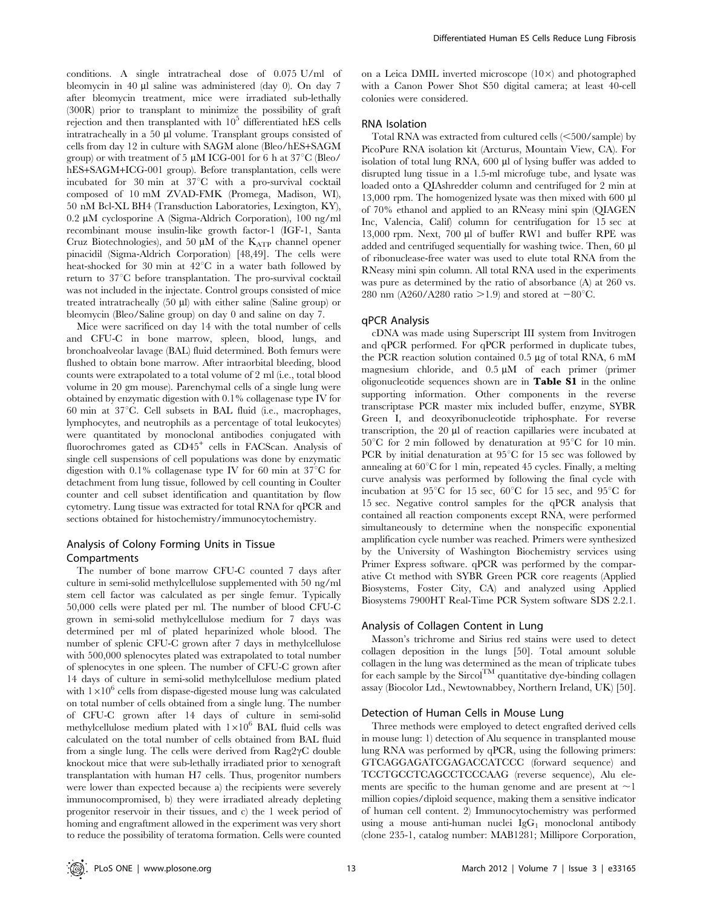conditions. A single intratracheal dose of 0.075 U/ml of bleomycin in 40  $\mu$ l saline was administered (day 0). On day 7 after bleomycin treatment, mice were irradiated sub-lethally (300R) prior to transplant to minimize the possibility of graft rejection and then transplanted with  $10<sup>5</sup>$  differentiated hES cells intratracheally in a 50 µl volume. Transplant groups consisted of cells from day 12 in culture with SAGM alone (Bleo/hES+SAGM group) or with treatment of 5  $\mu$ M ICG-001 for 6 h at 37°C (Bleo/ hES+SAGM+ICG-001 group). Before transplantation, cells were incubated for 30 min at  $37^{\circ}$ C with a pro-survival cocktail composed of 10 mM ZVAD-FMK (Promega, Madison, WI), 50 nM Bcl-XL BH4 (Transduction Laboratories, Lexington, KY),  $0.2 \mu M$  cyclosporine A (Sigma-Aldrich Corporation), 100 ng/ml recombinant mouse insulin-like growth factor-1 (IGF-1, Santa Cruz Biotechnologies), and 50  $\mu$ M of the KATP channel opener pinacidil (Sigma-Aldrich Corporation) [48,49]. The cells were heat-shocked for 30 min at  $42^{\circ}$ C in a water bath followed by return to  $37^{\circ}$ C before transplantation. The pro-survival cocktail was not included in the injectate. Control groups consisted of mice treated intratracheally (50 ml) with either saline (Saline group) or bleomycin (Bleo/Saline group) on day 0 and saline on day 7.

Mice were sacrificed on day 14 with the total number of cells and CFU-C in bone marrow, spleen, blood, lungs, and bronchoalveolar lavage (BAL) fluid determined. Both femurs were flushed to obtain bone marrow. After intraorbital bleeding, blood counts were extrapolated to a total volume of 2 ml (i.e., total blood volume in 20 gm mouse). Parenchymal cells of a single lung were obtained by enzymatic digestion with 0.1% collagenase type IV for 60 min at  $37^{\circ}$ C. Cell subsets in BAL fluid (i.e., macrophages, lymphocytes, and neutrophils as a percentage of total leukocytes) were quantitated by monoclonal antibodies conjugated with fluorochromes gated as  $CD45^+$  cells in FACScan. Analysis of single cell suspensions of cell populations was done by enzymatic digestion with 0.1% collagenase type IV for 60 min at  $37^{\circ}$ C for detachment from lung tissue, followed by cell counting in Coulter counter and cell subset identification and quantitation by flow cytometry. Lung tissue was extracted for total RNA for qPCR and sections obtained for histochemistry/immunocytochemistry.

# Analysis of Colony Forming Units in Tissue Compartments

The number of bone marrow CFU-C counted 7 days after culture in semi-solid methylcellulose supplemented with 50 ng/ml stem cell factor was calculated as per single femur. Typically 50,000 cells were plated per ml. The number of blood CFU-C grown in semi-solid methylcellulose medium for 7 days was determined per ml of plated heparinized whole blood. The number of splenic CFU-C grown after 7 days in methylcellulose with 500,000 splenocytes plated was extrapolated to total number of splenocytes in one spleen. The number of CFU-C grown after 14 days of culture in semi-solid methylcellulose medium plated with  $1\times10^{6}$  cells from dispase-digested mouse lung was calculated on total number of cells obtained from a single lung. The number of CFU-C grown after 14 days of culture in semi-solid methylcellulose medium plated with  $1\times10^{6}$  BAL fluid cells was calculated on the total number of cells obtained from BAL fluid from a single lung. The cells were derived from  $\text{Rag2}\gamma\text{C}$  double knockout mice that were sub-lethally irradiated prior to xenograft transplantation with human H7 cells. Thus, progenitor numbers were lower than expected because a) the recipients were severely immunocompromised, b) they were irradiated already depleting progenitor reservoir in their tissues, and c) the 1 week period of homing and engraftment allowed in the experiment was very short to reduce the possibility of teratoma formation. Cells were counted

on a Leica DMIL inverted microscope  $(10\times)$  and photographed with a Canon Power Shot S50 digital camera; at least 40-cell colonies were considered.

# RNA Isolation

Total RNA was extracted from cultured cells  $(<500/sample$ ) by PicoPure RNA isolation kit (Arcturus, Mountain View, CA). For isolation of total lung RNA, 600 µl of lysing buffer was added to disrupted lung tissue in a 1.5-ml microfuge tube, and lysate was loaded onto a QIAshredder column and centrifuged for 2 min at 13,000 rpm. The homogenized lysate was then mixed with 600 µl of 70% ethanol and applied to an RNeasy mini spin (QIAGEN Inc, Valencia, Calif) column for centrifugation for 15 sec at 13,000 rpm. Next, 700 µl of buffer RW1 and buffer RPE was added and centrifuged sequentially for washing twice. Then, 60  $\mu$ l of ribonuclease-free water was used to elute total RNA from the RNeasy mini spin column. All total RNA used in the experiments was pure as determined by the ratio of absorbance (A) at 260 vs. 280 nm (A260/A280 ratio  $>1.9$ ) and stored at  $-80^{\circ}$ C.

#### qPCR Analysis

cDNA was made using Superscript III system from Invitrogen and qPCR performed. For qPCR performed in duplicate tubes, the PCR reaction solution contained  $0.5 \mu$ g of total RNA, 6 mM magnesium chloride, and  $0.5 \mu M$  of each primer (primer oligonucleotide sequences shown are in Table S1 in the online supporting information. Other components in the reverse transcriptase PCR master mix included buffer, enzyme, SYBR Green I, and deoxyribonucleotide triphosphate. For reverse transcription, the  $20 \mu l$  of reaction capillaries were incubated at  $50^{\circ}$ C for 2 min followed by denaturation at  $95^{\circ}$ C for 10 min. PCR by initial denaturation at  $95^{\circ}$ C for 15 sec was followed by annealing at  $60^{\circ}$ C for 1 min, repeated 45 cycles. Finally, a melting curve analysis was performed by following the final cycle with incubation at 95 $\mathrm{^{\circ}C}$  for 15 sec, 60 $\mathrm{^{\circ}C}$  for 15 sec, and 95 $\mathrm{^{\circ}C}$  for 15 sec. Negative control samples for the qPCR analysis that contained all reaction components except RNA, were performed simultaneously to determine when the nonspecific exponential amplification cycle number was reached. Primers were synthesized by the University of Washington Biochemistry services using Primer Express software. qPCR was performed by the comparative Ct method with SYBR Green PCR core reagents (Applied Biosystems, Foster City, CA) and analyzed using Applied Biosystems 7900HT Real-Time PCR System software SDS 2.2.1.

## Analysis of Collagen Content in Lung

Masson's trichrome and Sirius red stains were used to detect collagen deposition in the lungs [50]. Total amount soluble collagen in the lung was determined as the mean of triplicate tubes for each sample by the Sircol<sup>TM</sup> quantitative dye-binding collagen assay (Biocolor Ltd., Newtownabbey, Northern Ireland, UK) [50].

## Detection of Human Cells in Mouse Lung

Three methods were employed to detect engrafted derived cells in mouse lung: 1) detection of Alu sequence in transplanted mouse lung RNA was performed by qPCR, using the following primers: GTCAGGAGATCGAGACCATCCC (forward sequence) and TCCTGCCTCAGCCTCCCAAG (reverse sequence), Alu elements are specific to the human genome and are present at  $\sim$ 1 million copies/diploid sequence, making them a sensitive indicator of human cell content. 2) Immunocytochemistry was performed using a mouse anti-human nuclei  $IgG<sub>1</sub>$  monoclonal antibody (clone 235-1, catalog number: MAB1281; Millipore Corporation,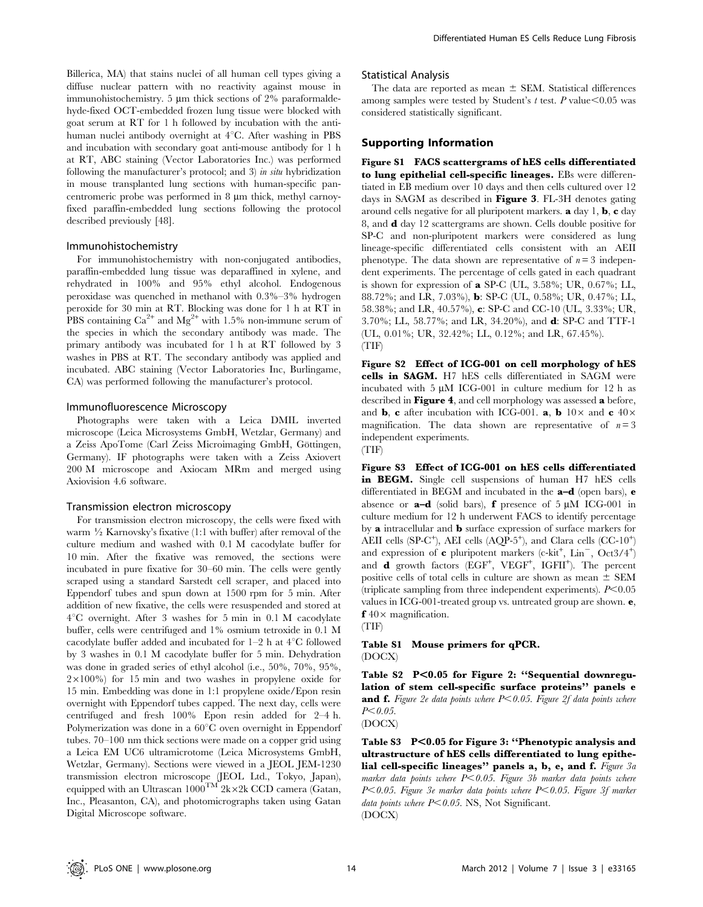Billerica, MA) that stains nuclei of all human cell types giving a diffuse nuclear pattern with no reactivity against mouse in immunohistochemistry. 5  $\mu$ m thick sections of 2% paraformaldehyde-fixed OCT-embedded frozen lung tissue were blocked with goat serum at RT for 1 h followed by incubation with the antihuman nuclei antibody overnight at 4°C. After washing in PBS and incubation with secondary goat anti-mouse antibody for 1 h at RT, ABC staining (Vector Laboratories Inc.) was performed following the manufacturer's protocol; and 3) in situ hybridization in mouse transplanted lung sections with human-specific pancentromeric probe was performed in 8  $\mu$ m thick, methyl carnoyfixed paraffin-embedded lung sections following the protocol described previously [48].

#### Immunohistochemistry

For immunohistochemistry with non-conjugated antibodies, paraffin-embedded lung tissue was deparaffined in xylene, and rehydrated in 100% and 95% ethyl alcohol. Endogenous peroxidase was quenched in methanol with 0.3%–3% hydrogen peroxide for 30 min at RT. Blocking was done for 1 h at RT in PBS containing  $Ca^{2+}$  and  $Mg^{2+}$  with 1.5% non-immune serum of the species in which the secondary antibody was made. The primary antibody was incubated for 1 h at RT followed by 3 washes in PBS at RT. The secondary antibody was applied and incubated. ABC staining (Vector Laboratories Inc, Burlingame, CA) was performed following the manufacturer's protocol.

#### Immunofluorescence Microscopy

Photographs were taken with a Leica DMIL inverted microscope (Leica Microsystems GmbH, Wetzlar, Germany) and a Zeiss ApoTome (Carl Zeiss Microimaging GmbH, Göttingen, Germany). IF photographs were taken with a Zeiss Axiovert 200 M microscope and Axiocam MRm and merged using Axiovision 4.6 software.

#### Transmission electron microscopy

For transmission electron microscopy, the cells were fixed with warm  $\frac{1}{2}$  Karnovsky's fixative (1:1 with buffer) after removal of the culture medium and washed with 0.1 M cacodylate buffer for 10 min. After the fixative was removed, the sections were incubated in pure fixative for 30–60 min. The cells were gently scraped using a standard Sarstedt cell scraper, and placed into Eppendorf tubes and spun down at 1500 rpm for 5 min. After addition of new fixative, the cells were resuspended and stored at  $4^{\circ}$ C overnight. After 3 washes for 5 min in 0.1 M cacodylate buffer, cells were centrifuged and 1% osmium tetroxide in 0.1 M cacodylate buffer added and incubated for  $1-2$  h at  $4^{\circ}$ C followed by 3 washes in 0.1 M cacodylate buffer for 5 min. Dehydration was done in graded series of ethyl alcohol (i.e., 50%, 70%, 95%,  $2\times100\%$  for 15 min and two washes in propylene oxide for 15 min. Embedding was done in 1:1 propylene oxide/Epon resin overnight with Eppendorf tubes capped. The next day, cells were centrifuged and fresh 100% Epon resin added for 2–4 h. Polymerization was done in a  $60^{\circ}$ C oven overnight in Eppendorf tubes. 70–100 nm thick sections were made on a copper grid using a Leica EM UC6 ultramicrotome (Leica Microsystems GmbH, Wetzlar, Germany). Sections were viewed in a JEOL JEM-1230 transmission electron microscope (JEOL Ltd., Tokyo, Japan), equipped with an Ultrascan  $1000^{\text{TM}}$  2k × 2k CCD camera (Gatan, Inc., Pleasanton, CA), and photomicrographs taken using Gatan Digital Microscope software.

#### Statistical Analysis

The data are reported as mean  $\pm$  SEM. Statistical differences among samples were tested by Student's  $t$  test.  $P$  value $<$ 0.05 was considered statistically significant.

## Supporting Information

Figure S1 FACS scattergrams of hES cells differentiated to lung epithelial cell-specific lineages. EBs were differentiated in EB medium over 10 days and then cells cultured over 12 days in SAGM as described in Figure 3. FL-3H denotes gating around cells negative for all pluripotent markers. a day 1, b, c day 8, and d day 12 scattergrams are shown. Cells double positive for SP-C and non-pluripotent markers were considered as lung lineage-specific differentiated cells consistent with an AEII phenotype. The data shown are representative of  $n = 3$  independent experiments. The percentage of cells gated in each quadrant is shown for expression of a SP-C (UL, 3.58%; UR, 0.67%; LL, 88.72%; and LR, 7.03%), b: SP-C (UL, 0.58%; UR, 0.47%; LL, 58.38%; and LR, 40.57%), c: SP-C and CC-10 (UL, 3.33%; UR, 3.70%; LL, 58.77%; and LR, 34.20%), and d: SP-C and TTF-1 (UL, 0.01%; UR, 32.42%; LL, 0.12%; and LR, 67.45%). (TIF)

Figure S2 Effect of ICG-001 on cell morphology of hES cells in SAGM. H7 hES cells differentiated in SAGM were incubated with  $5 \mu M$  ICG-001 in culture medium for 12 h as described in **Figure 4**, and cell morphology was assessed **a** before, and **b**, **c** after incubation with ICG-001. **a**, **b** 10 $\times$  and **c** 40 $\times$ magnification. The data shown are representative of  $n = 3$ independent experiments.



Figure S3 Effect of ICG-001 on hES cells differentiated in BEGM. Single cell suspensions of human H7 hES cells differentiated in BEGM and incubated in the **a-d** (open bars), **e** absence or  $\mathbf{a}-\mathbf{d}$  (solid bars),  $\mathbf{f}$  presence of 5  $\mu$ M ICG-001 in culture medium for 12 h underwent FACS to identify percentage by a intracellular and b surface expression of surface markers for AEII cells (SP-C<sup>+</sup>), AEI cells (AQP-5<sup>+</sup>), and Clara cells (CC-10<sup>+</sup>) and expression of  $\mathbf c$  pluripotent markers (c-kit<sup>+</sup>, Lin<sup>-</sup>, Oct3/4<sup>+</sup>) and **d** growth factors (EGF<sup>+</sup>, VEGF<sup>+</sup>, IGFII<sup>+</sup>). The percent positive cells of total cells in culture are shown as mean  $\pm$  SEM (triplicate sampling from three independent experiments).  $P<0.05$ values in ICG-001-treated group vs. untreated group are shown. e,  $f 40 \times$  magnification.



Table S1 Mouse primers for qPCR. (DOCX)

Table S2 P<0.05 for Figure 2: "Sequential downregulation of stem cell-specific surface proteins'' panels e and f. Figure 2e data points where  $P < 0.05$ . Figure 2f data points where  $P < 0.05$ .

(DOCX)

Table S3 P<0.05 for Figure 3: "Phenotypic analysis and ultrastructure of hES cells differentiated to lung epithelial cell-specific lineages" panels a, b, e, and f. Figure 3a marker data points where  $P<0.05$ . Figure 3b marker data points where  $P< 0.05$ . Figure 3e marker data points where  $P< 0.05$ . Figure 3f marker data points where  $P<0.05$ . NS, Not Significant. (DOCX)